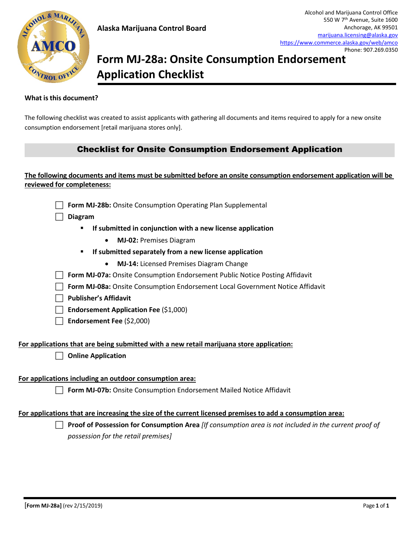# **Form MJ-28a: Onsite Consumption Endorsement Application Checklist**

#### **What isthis document?**

The following checklist was created to assist applicants with gathering all documents and items required to apply for a new onsite consumption endorsement [retail marijuana stores only].

## Checklist for Onsite Consumption Endorsement Application

### **The following documents and items must be submitted before an onsite consumption endorsement application will be reviewed for completeness:**



- - **If submitted in conjunction with a new license application**
		- **MJ-02:** Premises Diagram
	- **If submitted separately from a new license application**
		- **MJ-14:** Licensed Premises Diagram Change
- **Form MJ-07a:** Onsite Consumption Endorsement Public Notice Posting Affidavit
- **Form MJ-08a:** Onsite Consumption Endorsement Local Government Notice Affidavit
- **Publisher's Affidavit**
- **Endorsement Application Fee** (\$1,000)
- **Endorsement Fee** (\$2,000)

#### **For applications that are being submitted with a new retail marijuana store application:**

**Online Application** 

#### **For applications including an outdoor consumption area:**

**Form MJ-07b:** Onsite Consumption Endorsement Mailed Notice Affidavit

#### **For applications that are increasing the size of the current licensed premises to add a consumption area:**

 **Proof of Possession for Consumption Area** *[If consumption area is not included in the current proof of possession for the retail premises]*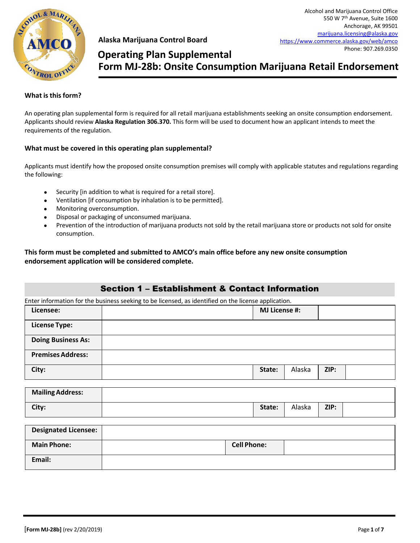

## **Form MJ-28b: Onsite Consumption Marijuana Retail Endorsement Operating Plan Supplemental**

#### **What is thisform?**

An operating plan supplemental form is required for all retail marijuana establishments seeking an onsite consumption endorsement. Applicants should review **Alaska Regulation 306.370.** This form will be used to document how an applicant intends to meet the requirements of the regulation.

#### **What must be covered in this operating plan supplemental?**

Applicants must identify how the proposed onsite consumption premises will comply with applicable statutes and regulations regarding the following:

- Security [in addition to what is required for a retail store].
- Ventilation [if consumption by inhalation is to be permitted].
- Monitoring overconsumption.
- Disposal or packaging of unconsumed marijuana.
- Prevention of the introduction of marijuana products not sold by the retail marijuana store or products not sold for onsite consumption.

**This form must be completed and submitted to AMCO's main office before any new onsite consumption endorsement application will be considered complete.**

### Section 1 – Establishment & Contact Information

Enter information for the business seeking to be licensed, as identified on the license application.

| Licensee:                 | . .<br><b>MJ License #:</b> |        |      |  |
|---------------------------|-----------------------------|--------|------|--|
| <b>License Type:</b>      |                             |        |      |  |
| <b>Doing Business As:</b> |                             |        |      |  |
| <b>Premises Address:</b>  |                             |        |      |  |
| City:                     | State:                      | Alaska | ZIP: |  |

| <b>Mailing Address:</b> |        |        |      |  |
|-------------------------|--------|--------|------|--|
| City:                   | State: | Alaska | ZIP: |  |

| <b>Designated Licensee:</b> |                    |  |
|-----------------------------|--------------------|--|
| <b>Main Phone:</b>          | <b>Cell Phone:</b> |  |
| Email:                      |                    |  |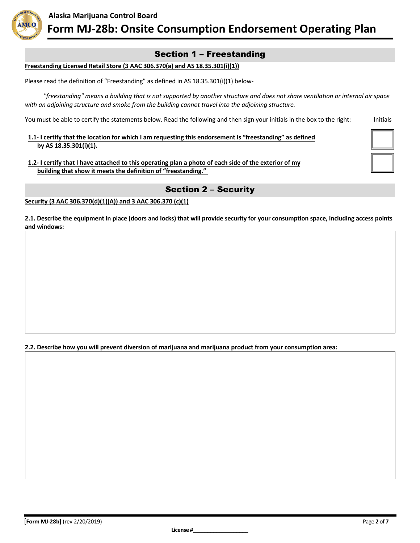

## Section 1 – Freestanding

#### **Freestanding Licensed Retail Store (3 AAC 306.370(a) and AS 18.35.301(i)(1))**

Please read the definition of "Freestanding" as defined in AS 18.35.301(i)(1) below-

*"freestanding" means a building that is not supported by another structure and does not share ventilation or internal air space with an adjoining structure and smoke from the building cannot travel into the adjoining structure.* 

You must be able to certify the statements below. Read the following and then sign your initials in the box to the right: Initials

**1.1- I certify that the location for which I am requesting this endorsement is "freestanding" as defined by AS 18.35.301(i)(1).** 

**1.2- I certify that I have attached to this operating plan a photo of each side of the exterior of my building that show it meets the definition of "freestanding."** 

## Section 2 – Security

**Security (3 AAC 306.370(d)(1)(A)) and 3 AAC 306.370 (c)(1)**

**2.1. Describe the equipment in place (doors and locks) that will provide security for your consumption space, including access points and windows:**

**2.2. Describe how you will prevent diversion of marijuana and marijuana product from your consumption area:**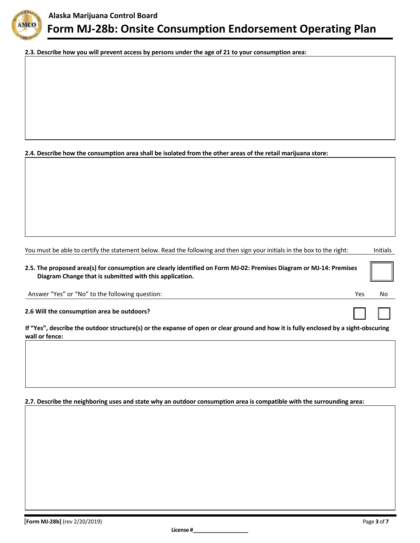

**2.3. Describe how you will prevent access by persons under the age of 21 to your consumption area:**

**2.4. Describe how the consumption area shall be isolated from the other areas of the retail marijuana store:**

You must be able to certify the statement below. Read the following and then sign your initials in the box to the right: Initials

**2.5. The proposed area(s) for consumption are clearly identified on Form MJ-02: Premises Diagram or MJ-14: Premises Diagram Change that is submitted with this application.**

Answer "Yes" or "No" to the following question: Yes No

☐ ☐

**2.6 Will the consumption area be outdoors?**

**If "Yes", describe the outdoor structure(s) or the expanse of open or clear ground and how it is fully enclosed by a sight-obscuring wall or fence:**

#### **2.7. Describe the neighboring uses and state why an outdoor consumption area is compatible with the surrounding area:**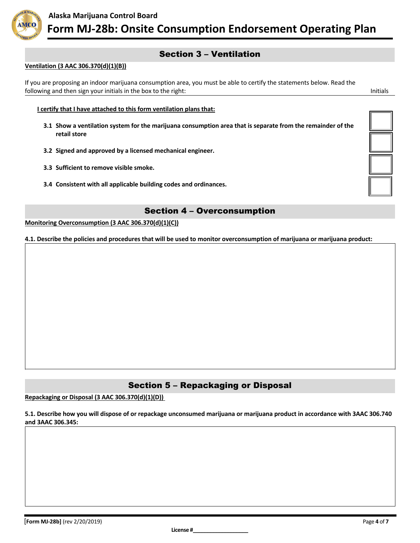

## Section 3 – Ventilation

#### **Ventilation (3 AAC 306.370(d)(1)(B))**

If you are proposing an indoor marijuana consumption area, you must be able to certify the statements below. Read the following and then sign your initials in the box to the right: Initials in the box to the right: Initials in the box to the right: Initials in the box to the right: Initials in the box to the right: Initials in the box to

**I certify that I have attached to this form ventilation plans that:**

- **3.1 Show a ventilation system for the marijuana consumption area that is separate from the remainder of the retail store**
- **3.2 Signed and approved by a licensed mechanical engineer.**
- **3.3 Sufficient to remove visible smoke.**
- **3.4 Consistent with all applicable building codes and ordinances.**

## Section 4 – Overconsumption

**Monitoring Overconsumption (3 AAC 306.370(d)(1)(C))**

**4.1. Describe the policies and procedures that will be used to monitor overconsumption of marijuana or marijuana product:**

## Section 5 – Repackaging or Disposal

**Repackaging or Disposal (3 AAC 306.370(d)(1)(D))**

**5.1. Describe how you will dispose of or repackage unconsumed marijuana or marijuana product in accordance with 3AAC 306.740 and 3AAC 306.345:**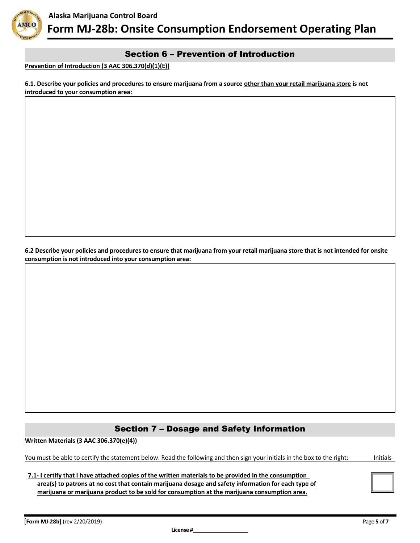

## Section 6 – Prevention of Introduction

**Prevention of Introduction (3 AAC 306.370(d)(1)(E))**

**6.1. Describe your policies and procedures to ensure marijuana from a source other than your retail marijuana store is not introduced to your consumption area:**

**6.2 Describe your policies and procedures to ensure that marijuana from your retail marijuana store that is not intended for onsite consumption is not introduced into your consumption area:**

## Section 7 – Dosage and Safety Information

**Written Materials (3 AAC 306.370(e)(4))**

You must be able to certify the statement below. Read the following and then sign your initials in the box to the right: Initials

**7.1- I certify that I have attached copies of the written materials to be provided in the consumption area(s) to patrons at no cost that contain marijuana dosage and safety information for each type of marijuana or marijuana product to be sold for consumption at the marijuana consumption area.**

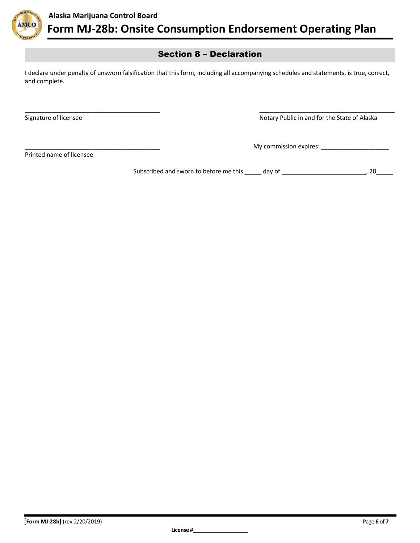

## Section 8 – Declaration

I declare under penalty of unsworn falsification that this form, including all accompanying schedules and statements, is true, correct, and complete.

\_\_\_\_\_\_\_\_\_\_\_\_\_\_\_\_\_\_\_\_\_\_\_\_\_\_\_\_\_\_\_\_\_\_\_\_\_\_\_\_ \_\_\_\_\_\_\_\_\_\_\_\_\_\_\_\_\_\_\_\_\_\_\_\_\_\_\_\_\_\_\_\_\_\_\_\_\_\_\_\_

Signature of licensee Notary Public in and for the State of Alaska

\_\_\_\_\_\_\_\_\_\_\_\_\_\_\_\_\_\_\_\_\_\_\_\_\_\_\_\_\_\_\_\_\_\_\_\_\_\_\_\_ My commission expires: \_\_\_\_\_\_\_\_\_\_\_\_\_\_\_\_\_\_\_\_

Printed name of licensee

Subscribed and sworn to before me this \_\_\_\_\_ day of \_\_\_\_\_\_\_\_\_\_\_\_\_\_\_\_\_\_\_\_\_\_\_\_\_\_\_, 20\_\_\_\_\_.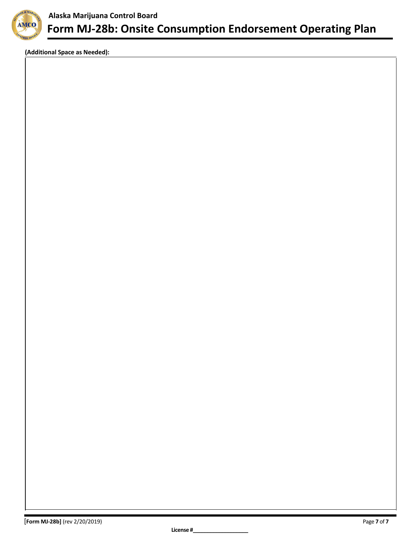

**(Additional Space as Needed):**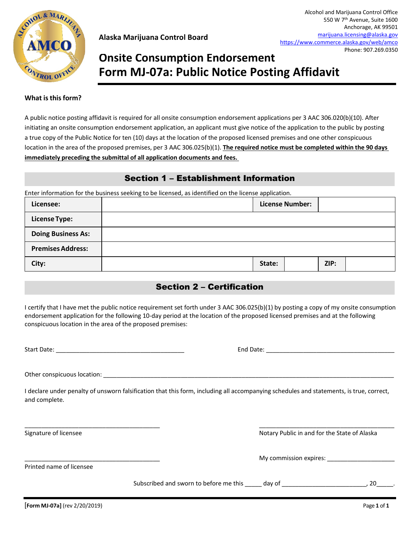

# **Onsite Consumption Endorsement Form MJ-07a: Public Notice Posting Affidavit**

#### **What isthisform?**

A public notice posting affidavit is required for all onsite consumption endorsement applications per 3 AAC 306.020(b)(10). After initiating an onsite consumption endorsement application, an applicant must give notice of the application to the public by posting a true copy of the Public Notice for ten (10) days at the location of the proposed licensed premises and one other conspicuous location in the area of the proposed premises, per 3 AAC 306.025(b)(1). **The required notice must be completed within the 90 days immediately preceding the submittal of all application documents and fees.** 

## Section 1 – Establishment Information

Enter information for the business seeking to be licensed, as identified on the license application.

| Licensee:                 |        | <b>License Number:</b> |      |  |
|---------------------------|--------|------------------------|------|--|
| <b>License Type:</b>      |        |                        |      |  |
| <b>Doing Business As:</b> |        |                        |      |  |
| <b>Premises Address:</b>  |        |                        |      |  |
| City:                     | State: |                        | ZIP: |  |

## Section 2 – Certification

I certify that I have met the public notice requirement set forth under 3 AAC 306.025(b)(1) by posting a copy of my onsite consumption endorsement application for the following 10-day period at the location of the proposed licensed premises and at the following conspicuous location in the area of the proposed premises:

Start Date: \_\_\_\_\_\_\_\_\_\_\_\_\_\_\_\_\_\_\_\_\_\_\_\_\_\_\_\_\_\_\_\_\_\_\_\_\_\_ End Date: \_\_\_\_\_\_\_\_\_\_\_\_\_\_\_\_\_\_\_\_\_\_\_\_\_\_\_\_\_\_\_\_\_\_\_\_\_\_

Other conspicuous location: \_\_\_\_\_\_\_\_\_\_\_\_\_\_\_\_\_\_\_\_\_\_\_\_\_\_\_\_\_\_\_\_\_\_\_\_\_\_\_\_\_\_\_\_\_\_\_\_\_\_\_\_\_\_\_\_\_\_\_\_\_\_\_\_\_\_\_\_\_\_\_\_\_\_\_\_\_\_\_\_\_\_\_\_\_\_

I declare under penalty of unsworn falsification that this form, including all accompanying schedules and statements, is true, correct, and complete.

\_\_\_\_\_\_\_\_\_\_\_\_\_\_\_\_\_\_\_\_\_\_\_\_\_\_\_\_\_\_\_\_\_\_\_\_\_\_\_\_ \_\_\_\_\_\_\_\_\_\_\_\_\_\_\_\_\_\_\_\_\_\_\_\_\_\_\_\_\_\_\_\_\_\_\_\_\_\_\_\_

Signature of licensee Notary Public in and for the State of Alaska

\_\_\_\_\_\_\_\_\_\_\_\_\_\_\_\_\_\_\_\_\_\_\_\_\_\_\_\_\_\_\_\_\_\_\_\_\_\_\_\_ My commission expires: \_\_\_\_\_\_\_\_\_\_\_\_\_\_\_\_\_\_\_\_

Printed name of licensee

Subscribed and sworn to before me this \_\_\_\_\_ day of \_\_\_\_\_\_\_\_\_\_\_\_\_\_\_\_\_\_\_\_\_\_\_\_\_\_\_\_, 20\_\_\_\_\_\_.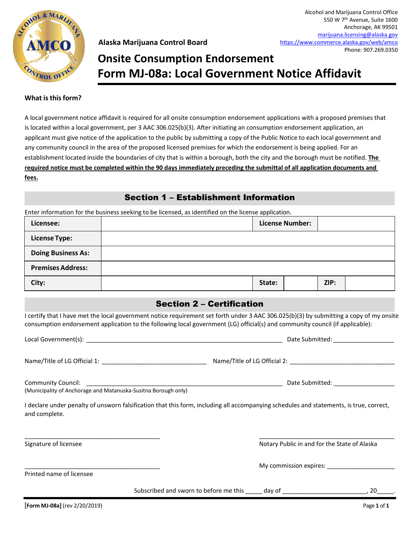

# **Form MJ-08a: Local Government Notice Affidavit Onsite Consumption Endorsement**

#### **What isthisform?**

A local government notice affidavit is required for all onsite consumption endorsement applications with a proposed premises that is located within a local government, per 3 AAC 306.025(b)(3). After initiating an consumption endorsement application, an applicant must give notice of the application to the public by submitting a copy of the Public Notice to each local government and any community council in the area of the proposed licensed premises for which the endorsement is being applied. For an establishment located inside the boundaries of city that is within a borough, both the city and the borough must be notified. **The required notice must be completed within the 90 days immediately preceding the submittal of all application documents and fees.**

## Section 1 – Establishment Information

Enter information for the business seeking to be licensed, as identified on the license application.

| Licensee:                 |        | <b>License Number:</b> |      |  |
|---------------------------|--------|------------------------|------|--|
| <b>License Type:</b>      |        |                        |      |  |
| <b>Doing Business As:</b> |        |                        |      |  |
| <b>Premises Address:</b>  |        |                        |      |  |
| City:                     | State: |                        | ZIP: |  |

### Section 2 – Certification

I certify that I have met the local government notice requirement set forth under 3 AAC 306.025(b)(3) by submitting a copy of my onsite consumption endorsement application to the following local government (LG) official(s) and community council (if applicable):

Local Government(s): \_\_\_\_\_\_\_\_\_\_\_\_\_\_\_\_\_\_\_\_\_\_\_\_\_\_\_\_\_\_\_\_\_\_\_\_\_\_\_\_\_\_\_\_\_\_\_\_\_\_\_\_\_\_\_\_\_\_ Date Submitted: \_\_\_\_\_\_\_\_\_\_\_\_\_\_\_\_\_\_

Name/Title of LG Official 1:  $\blacksquare$  Name/Title of LG Official 2:  $\blacksquare$ 

Community Council: \_\_\_\_\_\_\_\_\_\_\_\_\_\_\_\_\_\_\_\_\_\_\_\_\_\_\_\_\_\_\_\_\_\_\_\_\_\_\_\_\_\_\_\_\_\_\_\_\_\_\_\_\_\_\_\_\_\_ Date Submitted: \_\_\_\_\_\_\_\_\_\_\_\_\_\_\_\_\_\_ (Municipality of Anchorage and Matanuska-Susitna Borough only)

I declare under penalty of unsworn falsification that this form, including all accompanying schedules and statements, is true, correct, and complete.

\_\_\_\_\_\_\_\_\_\_\_\_\_\_\_\_\_\_\_\_\_\_\_\_\_\_\_\_\_\_\_\_\_\_\_\_\_\_\_\_ \_\_\_\_\_\_\_\_\_\_\_\_\_\_\_\_\_\_\_\_\_\_\_\_\_\_\_\_\_\_\_\_\_\_\_\_\_\_\_\_

Signature of licensee Notary Public in and for the State of Alaska

My commission expires:  $\Box$ 

Printed name of licensee

Subscribed and sworn to before me this day of  $\qquad \qquad$ , 20

[**Form MJ-08a]** (rev 2/20/2019) Page **1** of **1**